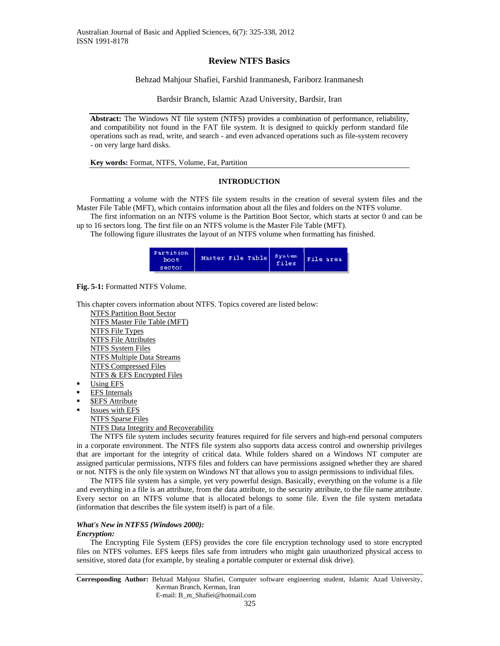# **Review NTFS Basics**

Behzad Mahjour Shafiei, Farshid Iranmanesh, Fariborz Iranmanesh

Bardsir Branch, Islamic Azad University, Bardsir, Iran

**Abstract:** The Windows NT file system (NTFS) provides a combination of performance, reliability, and compatibility not found in the FAT file system. It is designed to quickly perform standard file operations such as read, write, and search - and even advanced operations such as file-system recovery - on very large hard disks.

**Key words:** Format, NTFS, Volume, Fat, Partition

# **INTRODUCTION**

 Formatting a volume with the NTFS file system results in the creation of several system files and the Master File Table (MFT), which contains information about all the files and folders on the NTFS volume.

 The first information on an NTFS volume is the Partition Boot Sector, which starts at sector 0 and can be up to 16 sectors long. The first file on an NTFS volume is the Master File Table (MFT).

The following figure illustrates the layout of an NTFS volume when formatting has finished.

| Partition<br>boot. | Master File Table | System<br>files | <i><b>IFile area</b></i> |
|--------------------|-------------------|-----------------|--------------------------|
| sector             |                   |                 |                          |

**Fig. 5-1:** Formatted NTFS Volume.

This chapter covers information about NTFS. Topics covered are listed below:

NTFS Partition Boot Sector NTFS Master File Table (MFT) NTFS File Types NTFS File Attributes NTFS System Files NTFS Multiple Data Streams NTFS Compressed Files NTFS & EFS Encrypted Files

- Using EFS
- EFS Internals
- *<u>SEFS Attribute</u>*
- Issues with EFS NTFS Sparse Files NTFS Data Integrity and Recoverability

 The NTFS file system includes security features required for file servers and high-end personal computers in a corporate environment. The NTFS file system also supports data access control and ownership privileges that are important for the integrity of critical data. While folders shared on a Windows NT computer are assigned particular permissions, NTFS files and folders can have permissions assigned whether they are shared or not. NTFS is the only file system on Windows NT that allows you to assign permissions to individual files.

 The NTFS file system has a simple, yet very powerful design. Basically, everything on the volume is a file and everything in a file is an attribute, from the data attribute, to the security attribute, to the file name attribute. Every sector on an NTFS volume that is allocated belongs to some file. Even the file system metadata (information that describes the file system itself) is part of a file.

## *What's New in NTFS5 (Windows 2000):*

## *Encryption:*

 The Encrypting File System (EFS) provides the core file encryption technology used to store encrypted files on NTFS volumes. EFS keeps files safe from intruders who might gain unauthorized physical access to sensitive, stored data (for example, by stealing a portable computer or external disk drive).

**Corresponding Author:** Behzad Mahjour Shafiei, Computer software engineering student, Islamic Azad University, Kerman Branch, Kerman, Iran E-mail: B\_m\_Shafiei@hotmail.com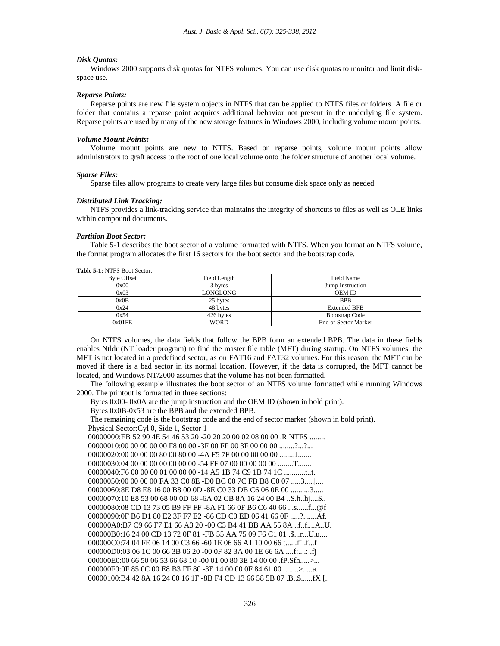#### *Disk Quotas:*

 Windows 2000 supports disk quotas for NTFS volumes. You can use disk quotas to monitor and limit diskspace use.

### *Reparse Points:*

 Reparse points are new file system objects in NTFS that can be applied to NTFS files or folders. A file or folder that contains a reparse point acquires additional behavior not present in the underlying file system. Reparse points are used by many of the new storage features in Windows 2000, including volume mount points.

#### *Volume Mount Points:*

 Volume mount points are new to NTFS. Based on reparse points, volume mount points allow administrators to graft access to the root of one local volume onto the folder structure of another local volume.

### *Sparse Files:*

Sparse files allow programs to create very large files but consume disk space only as needed.

#### *Distributed Link Tracking:*

 NTFS provides a link-tracking service that maintains the integrity of shortcuts to files as well as OLE links within compound documents.

#### *Partition Boot Sector:*

 Table 5-1 describes the boot sector of a volume formatted with NTFS. When you format an NTFS volume, the format program allocates the first 16 sectors for the boot sector and the bootstrap code.

|  |  |  | Table 5-1: NTFS Boot Sector. |
|--|--|--|------------------------------|
|--|--|--|------------------------------|

| <b>Byte Offset</b> | Field Length | Field Name                  |
|--------------------|--------------|-----------------------------|
| 0x00               | 3 bytes      | Jump Instruction            |
| 0x03               | LONGLONG     | <b>OEM ID</b>               |
| 0x0B               | 25 bytes     | <b>BPB</b>                  |
| 0x24               | 48 bytes     | <b>Extended BPB</b>         |
| 0x54               | 426 bytes    | <b>Bootstrap Code</b>       |
| 0x01FE             | WORD         | <b>End of Sector Marker</b> |

 On NTFS volumes, the data fields that follow the BPB form an extended BPB. The data in these fields enables Ntldr (NT loader program) to find the master file table (MFT) during startup. On NTFS volumes, the MFT is not located in a predefined sector, as on FAT16 and FAT32 volumes. For this reason, the MFT can be moved if there is a bad sector in its normal location. However, if the data is corrupted, the MFT cannot be located, and Windows NT/2000 assumes that the volume has not been formatted.

 The following example illustrates the boot sector of an NTFS volume formatted while running Windows 2000. The printout is formatted in three sections:

Bytes 0x00- 0x0A are the jump instruction and the OEM ID (shown in bold print).

Bytes 0x0B-0x53 are the BPB and the extended BPB.

The remaining code is the bootstrap code and the end of sector marker (shown in bold print).

Physical Sector:Cyl 0, Side 1, Sector 1

00000000:EB 52 90 4E 54 46 53 20 -20 20 20 00 02 08 00 00 .R.NTFS ........ 00000010:00 00 00 00 00 F8 00 00 -3F 00 FF 00 3F 00 00 00 .......?...?... 00000020:00 00 00 00 80 00 80 00 -4A F5 7F 00 00 00 00 00 ........J....... 00000030:04 00 00 00 00 00 00 00 -54 FF 07 00 00 00 00 00 ........T....... 00000040:F6 00 00 00 01 00 00 00 -14 A5 1B 74 C9 1B 74 1C ...........t...t. 00000050:00 00 00 00 FA 33 C0 8E -D0 BC 00 7C FB B8 C0 07 .....3.....|.... 00000060:8E D8 E8 16 00 B8 00 0D -8E C0 33 DB C6 06 0E 00 ..........3..... 00000070:10 E8 53 00 68 00 0D 68 -6A 02 CB 8A 16 24 00 B4 ..S.h..hj....\$.. 00000080:08 CD 13 73 05 B9 FF FF -8A F1 66 0F B6 C6 40 66 ...s......f...@f 00000090:0F B6 D1 80 E2 3F F7 E2 -86 CD C0 ED 06 41 66 0F .....?.......Af. 000000A0:B7 C9 66 F7 E1 66 A3 20 -00 C3 B4 41 BB AA 55 8A ..f..f....A..U. 000000B0:16 24 00 CD 13 72 0F 81 -FB 55 AA 75 09 F6 C1 01 .\$...r...U.u.... 000000C0:74 04 FE 06 14 00 C3 66 -60 1E 06 66 A1 10 00 66 t......f`..f...f 000000D0:03 06 1C 00 66 3B 06 20 -00 0F 82 3A 00 1E 66 6A ....f;....:..fj 000000E0:00 66 50 06 53 66 68 10 -00 01 00 80 3E 14 00 00 .fP.Sfh.....>... 000000F0:0F 85 0C 00 E8 B3 FF 80 -3E 14 00 00 0F 84 61 00 ........>.....a. 00000100:B4 42 8A 16 24 00 16 1F -8B F4 CD 13 66 58 5B 07 .B..\$......fX [..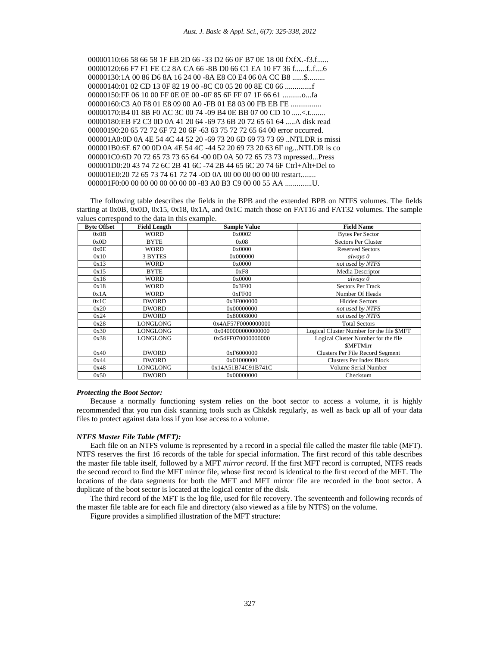00000110:66 58 66 58 1F EB 2D 66 -33 D2 66 0F B7 0E 18 00 fXfX.-f3.f...... 00000120:66 F7 F1 FE C2 8A CA 66 -8B D0 66 C1 EA 10 F7 36 f......f..f....6 00000130:1A 00 86 D6 8A 16 24 00 -8A E8 C0 E4 06 0A CC B8 ......\$......... 00000140:01 02 CD 13 0F 82 19 00 -8C C0 05 20 00 8E C0 66 ....................... 00000150:FF 06 10 00 FF 0E 0E 00 -0F 85 6F FF 07 1F 66 61 ..........o...fa 00000160:C3 A0 F8 01 E8 09 00 A0 -FB 01 E8 03 00 FB EB FE ................. 00000170:B4 01 8B F0 AC 3C 00 74 -09 B4 0E BB 07 00 CD 10 .....<.t........ 00000180:EB F2 C3 0D 0A 41 20 64 -69 73 6B 20 72 65 61 64 .....A disk read 00000190:20 65 72 72 6F 72 20 6F -63 63 75 72 72 65 64 00 error occurred. 000001A0:0D 0A 4E 54 4C 44 52 20 -69 73 20 6D 69 73 73 69 ..NTLDR is missi 000001B0:6E 67 00 0D 0A 4E 54 4C -44 52 20 69 73 20 63 6F ng...NTLDR is co 000001C0:6D 70 72 65 73 73 65 64 -00 0D 0A 50 72 65 73 73 mpressed...Press 000001D0:20 43 74 72 6C 2B 41 6C -74 2B 44 65 6C 20 74 6F Ctrl+Alt+Del to 000001E0:20 72 65 73 74 61 72 74 -0D 0A 00 00 00 00 00 00 restart........ 000001F0:00 00 00 00 00 00 00 00 -83 A0 B3 C9 00 00 55 AA ..............U.

 The following table describes the fields in the BPB and the extended BPB on NTFS volumes. The fields starting at 0x0B, 0x0D, 0x15, 0x18, 0x1A, and 0x1C match those on FAT16 and FAT32 volumes. The sample values correspond to the data in this example.

| <b>Byte Offset</b> | <b>Field Length</b> | <b>Sample Value</b> | <b>Field Name</b>                         |
|--------------------|---------------------|---------------------|-------------------------------------------|
| 0x0B               | <b>WORD</b>         | 0x0002              | <b>Bytes Per Sector</b>                   |
| 0x0D               | <b>BYTE</b>         | 0x08                | <b>Sectors Per Cluster</b>                |
| 0x0E               | <b>WORD</b>         | 0x0000              | <b>Reserved Sectors</b>                   |
| 0x10               | 3 BYTES             | 0x000000            | always $\theta$                           |
| 0x13               | <b>WORD</b>         | 0x0000              | not used by NTFS                          |
| 0x15               | <b>BYTE</b>         | 0xF8                | Media Descriptor                          |
| 0x16               | <b>WORD</b>         | 0x0000              | $always$ $0$                              |
| 0x18               | <b>WORD</b>         | 0x3F00              | <b>Sectors Per Track</b>                  |
| 0x1A               | <b>WORD</b>         | 0xFF00              | Number Of Heads                           |
| 0x1C               | <b>DWORD</b>        | 0x3F000000          | <b>Hidden Sectors</b>                     |
| 0x20               | <b>DWORD</b>        | 0x00000000          | not used by NTFS                          |
| 0x24               | <b>DWORD</b>        | 0x80008000          | not used by NTFS                          |
| 0x28               | <b>LONGLONG</b>     | 0x4AF57F0000000000  | <b>Total Sectors</b>                      |
| 0x30               | <b>LONGLONG</b>     | 0x0400000000000000  | Logical Cluster Number for the file \$MFT |
| 0x38               | <b>LONGLONG</b>     | 0x54FF070000000000  | Logical Cluster Number for the file       |
|                    |                     |                     | <b>SMFTMirr</b>                           |
| 0x40               | <b>DWORD</b>        | 0xF6000000          | Clusters Per File Record Segment          |
| 0x44               | <b>DWORD</b>        | 0x01000000          | <b>Clusters Per Index Block</b>           |
| 0x48               | LONGLONG            | 0x14A51B74C91B741C  | Volume Serial Number                      |
| 0x50               | <b>DWORD</b>        | 0x00000000          | Checksum                                  |

### *Protecting the Boot Sector:*

 Because a normally functioning system relies on the boot sector to access a volume, it is highly recommended that you run disk scanning tools such as Chkdsk regularly, as well as back up all of your data files to protect against data loss if you lose access to a volume.

### *NTFS Master File Table (MFT):*

 Each file on an NTFS volume is represented by a record in a special file called the master file table (MFT). NTFS reserves the first 16 records of the table for special information. The first record of this table describes the master file table itself, followed by a MFT *mirror record*. If the first MFT record is corrupted, NTFS reads the second record to find the MFT mirror file, whose first record is identical to the first record of the MFT. The locations of the data segments for both the MFT and MFT mirror file are recorded in the boot sector. A duplicate of the boot sector is located at the logical center of the disk.

 The third record of the MFT is the log file, used for file recovery. The seventeenth and following records of the master file table are for each file and directory (also viewed as a file by NTFS) on the volume.

Figure provides a simplified illustration of the MFT structure: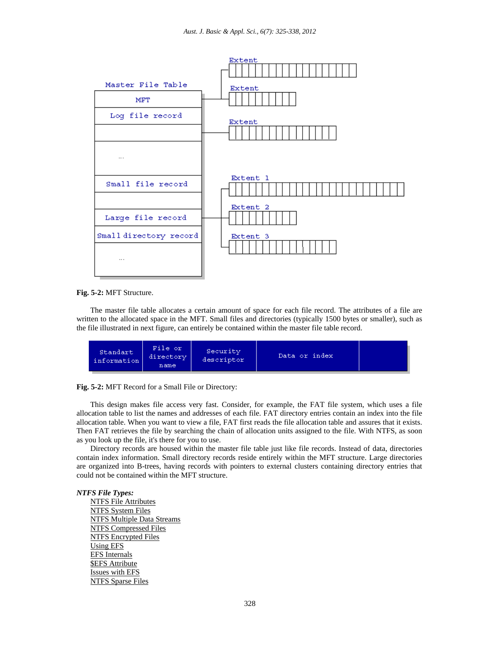

# **Fig. 5-2:** MFT Structure.

 The master file table allocates a certain amount of space for each file record. The attributes of a file are written to the allocated space in the MFT. Small files and directories (typically 1500 bytes or smaller), such as the file illustrated in next figure, can entirely be contained within the master file table record.





 This design makes file access very fast. Consider, for example, the FAT file system, which uses a file allocation table to list the names and addresses of each file. FAT directory entries contain an index into the file allocation table. When you want to view a file, FAT first reads the file allocation table and assures that it exists. Then FAT retrieves the file by searching the chain of allocation units assigned to the file. With NTFS, as soon as you look up the file, it's there for you to use.

 Directory records are housed within the master file table just like file records. Instead of data, directories contain index information. Small directory records reside entirely within the MFT structure. Large directories are organized into B-trees, having records with pointers to external clusters containing directory entries that could not be contained within the MFT structure.

*NTFS File Types:* 

NTFS File Attributes NTFS System Files NTFS Multiple Data Streams NTFS Compressed Files NTFS Encrypted Files Using EFS EFS Internals *<u>SEFS</u>* Attribute Issues with EFS NTFS Sparse Files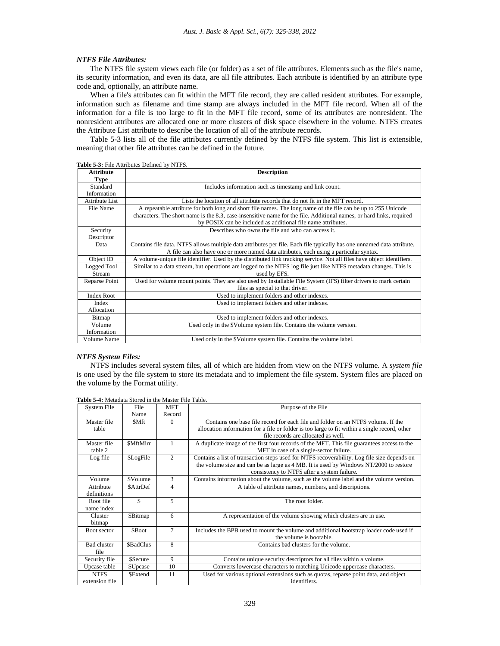# *NTFS File Attributes:*

 The NTFS file system views each file (or folder) as a set of file attributes. Elements such as the file's name, its security information, and even its data, are all file attributes. Each attribute is identified by an attribute type code and, optionally, an attribute name.

 When a file's attributes can fit within the MFT file record, they are called resident attributes. For example, information such as filename and time stamp are always included in the MFT file record. When all of the information for a file is too large to fit in the MFT file record, some of its attributes are nonresident. The nonresident attributes are allocated one or more clusters of disk space elsewhere in the volume. NTFS creates the Attribute List attribute to describe the location of all of the attribute records.

 Table 5-3 lists all of the file attributes currently defined by the NTFS file system. This list is extensible, meaning that other file attributes can be defined in the future.

| <b>Attribute</b>      | <b>Description</b>                                                                                                     |
|-----------------------|------------------------------------------------------------------------------------------------------------------------|
| Type                  |                                                                                                                        |
| Standard              | Includes information such as timestamp and link count.                                                                 |
| Information           |                                                                                                                        |
| <b>Attribute List</b> | Lists the location of all attribute records that do not fit in the MFT record.                                         |
| File Name             | A repeatable attribute for both long and short file names. The long name of the file can be up to 255 Unicode          |
|                       | characters. The short name is the 8.3, case-insensitive name for the file. Additional names, or hard links, required   |
|                       | by POSIX can be included as additional file name attributes.                                                           |
| Security              | Describes who owns the file and who can access it.                                                                     |
| Descriptor            |                                                                                                                        |
| Data                  | Contains file data. NTFS allows multiple data attributes per file. Each file typically has one unnamed data attribute. |
|                       | A file can also have one or more named data attributes, each using a particular syntax.                                |
| Object ID             | A volume-unique file identifier. Used by the distributed link tracking service. Not all files have object identifiers. |
| Logged Tool           | Similar to a data stream, but operations are logged to the NTFS log file just like NTFS metadata changes. This is      |
| Stream                | used by EFS.                                                                                                           |
| Reparse Point         | Used for volume mount points. They are also used by Installable File System (IFS) filter drivers to mark certain       |
|                       | files as special to that driver.                                                                                       |
| <b>Index Root</b>     | Used to implement folders and other indexes.                                                                           |
| Index                 | Used to implement folders and other indexes.                                                                           |
| Allocation            |                                                                                                                        |
| Bitmap                | Used to implement folders and other indexes.                                                                           |
| Volume                | Used only in the \$Volume system file. Contains the volume version.                                                    |
| Information           |                                                                                                                        |
| Volume Name           | Used only in the \$Volume system file. Contains the volume label.                                                      |

**Table 5-3:** File Attributes Defined by NTFS.

#### *NTFS System Files:*

 NTFS includes several system files, all of which are hidden from view on the NTFS volume. A *system file* is one used by the file system to store its metadata and to implement the file system. System files are placed on the volume by the Format utility.

| System File        | File      | <b>MFT</b>     | Purpose of the File                                                                              |  |  |  |  |  |  |
|--------------------|-----------|----------------|--------------------------------------------------------------------------------------------------|--|--|--|--|--|--|
|                    | Name      | Record         |                                                                                                  |  |  |  |  |  |  |
| Master file        | \$Mft     | $\Omega$       | Contains one base file record for each file and folder on an NTFS volume. If the                 |  |  |  |  |  |  |
| table              |           |                | allocation information for a file or folder is too large to fit within a single record, other    |  |  |  |  |  |  |
|                    |           |                | file records are allocated as well.                                                              |  |  |  |  |  |  |
| Master file        | \$MftMirr | $\mathbf{1}$   | A duplicate image of the first four records of the MFT. This file guarantees access to the       |  |  |  |  |  |  |
| table 2            |           |                | MFT in case of a single-sector failure.                                                          |  |  |  |  |  |  |
| Log file           | \$LogFile | $\overline{2}$ | Contains a list of transaction steps used for NTFS recoverability. Log file size depends on      |  |  |  |  |  |  |
|                    |           |                | the volume size and can be as large as $4 \text{ MB}$ . It is used by Windows NT/2000 to restore |  |  |  |  |  |  |
|                    |           |                | consistency to NTFS after a system failure.                                                      |  |  |  |  |  |  |
| Volume             | \$Volume  | 3              | Contains information about the volume, such as the volume label and the volume version.          |  |  |  |  |  |  |
| Attribute          | \$AttrDef | $\overline{4}$ | A table of attribute names, numbers, and descriptions.                                           |  |  |  |  |  |  |
| definitions        |           |                |                                                                                                  |  |  |  |  |  |  |
| Root file          | \$        | $\overline{5}$ | The root folder.                                                                                 |  |  |  |  |  |  |
| name index         |           |                |                                                                                                  |  |  |  |  |  |  |
| Cluster            | \$Bitmap  | 6              | A representation of the volume showing which clusters are in use.                                |  |  |  |  |  |  |
| bitmap             |           |                |                                                                                                  |  |  |  |  |  |  |
| <b>Boot sector</b> | \$Boot    | 7              | Includes the BPB used to mount the volume and additional bootstrap loader code used if           |  |  |  |  |  |  |
|                    |           |                | the volume is bootable.                                                                          |  |  |  |  |  |  |
| <b>Bad cluster</b> | \$BadClus | 8              | Contains bad clusters for the volume.                                                            |  |  |  |  |  |  |
| file               |           |                |                                                                                                  |  |  |  |  |  |  |
| Security file      | \$Secure  | 9              | Contains unique security descriptors for all files within a volume.                              |  |  |  |  |  |  |
| Upcase table       | \$Upcase  | 10             | Converts lowercase characters to matching Unicode uppercase characters.                          |  |  |  |  |  |  |
| <b>NTFS</b>        | \$Extend  | 11             | Used for various optional extensions such as quotas, reparse point data, and object              |  |  |  |  |  |  |
| extension file     |           |                | identifiers.                                                                                     |  |  |  |  |  |  |

**Table 5-4:** Metadata Stored in the Master File Table.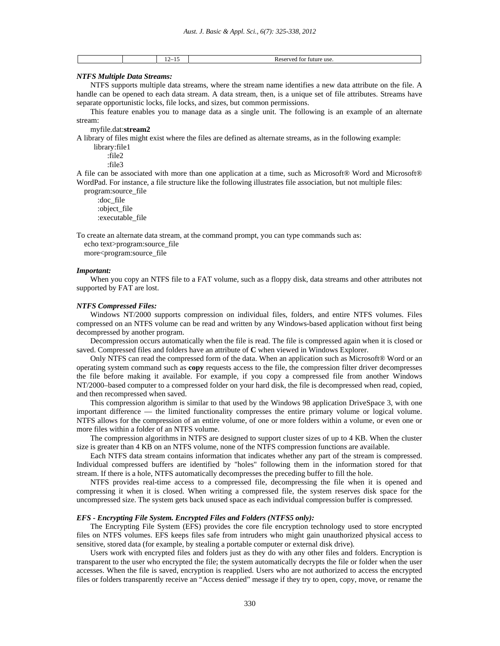| ._<br>. .<br>. . | use.<br>ruture<br>101<br>$\overline{\mathbf{u}}$<br>$\sim$<br>.<br>. |
|------------------|----------------------------------------------------------------------|
|                  |                                                                      |

# *NTFS Multiple Data Streams:*

 NTFS supports multiple data streams, where the stream name identifies a new data attribute on the file. A handle can be opened to each data stream. A data stream, then, is a unique set of file attributes. Streams have separate opportunistic locks, file locks, and sizes, but common permissions.

 This feature enables you to manage data as a single unit. The following is an example of an alternate stream:

myfile.dat:**stream2**

A library of files might exist where the files are defined as alternate streams, as in the following example:

library:file1

:file2

:file3

A file can be associated with more than one application at a time, such as Microsoft® Word and Microsoft® WordPad. For instance, a file structure like the following illustrates file association, but not multiple files: program:source\_file

 :doc\_file :object\_file :executable\_file

To create an alternate data stream, at the command prompt, you can type commands such as: echo text>program:source\_file

more<program:source\_file

#### *Important:*

 When you copy an NTFS file to a FAT volume, such as a floppy disk, data streams and other attributes not supported by FAT are lost.

### *NTFS Compressed Files:*

 Windows NT/2000 supports compression on individual files, folders, and entire NTFS volumes. Files compressed on an NTFS volume can be read and written by any Windows-based application without first being decompressed by another program.

 Decompression occurs automatically when the file is read. The file is compressed again when it is closed or saved. Compressed files and folders have an attribute of **C** when viewed in Windows Explorer.

 Only NTFS can read the compressed form of the data. When an application such as Microsoft® Word or an operating system command such as **copy** requests access to the file, the compression filter driver decompresses the file before making it available. For example, if you copy a compressed file from another Windows NT/2000–based computer to a compressed folder on your hard disk, the file is decompressed when read, copied, and then recompressed when saved.

 This compression algorithm is similar to that used by the Windows 98 application DriveSpace 3, with one important difference — the limited functionality compresses the entire primary volume or logical volume. NTFS allows for the compression of an entire volume, of one or more folders within a volume, or even one or more files within a folder of an NTFS volume.

 The compression algorithms in NTFS are designed to support cluster sizes of up to 4 KB. When the cluster size is greater than 4 KB on an NTFS volume, none of the NTFS compression functions are available.

 Each NTFS data stream contains information that indicates whether any part of the stream is compressed. Individual compressed buffers are identified by "holes" following them in the information stored for that stream. If there is a hole, NTFS automatically decompresses the preceding buffer to fill the hole.

 NTFS provides real-time access to a compressed file, decompressing the file when it is opened and compressing it when it is closed. When writing a compressed file, the system reserves disk space for the uncompressed size. The system gets back unused space as each individual compression buffer is compressed.

#### *EFS - Encrypting File System. Encrypted Files and Folders (NTFS5 only):*

 The Encrypting File System (EFS) provides the core file encryption technology used to store encrypted files on NTFS volumes. EFS keeps files safe from intruders who might gain unauthorized physical access to sensitive, stored data (for example, by stealing a portable computer or external disk drive).

 Users work with encrypted files and folders just as they do with any other files and folders. Encryption is transparent to the user who encrypted the file; the system automatically decrypts the file or folder when the user accesses. When the file is saved, encryption is reapplied. Users who are not authorized to access the encrypted files or folders transparently receive an "Access denied" message if they try to open, copy, move, or rename the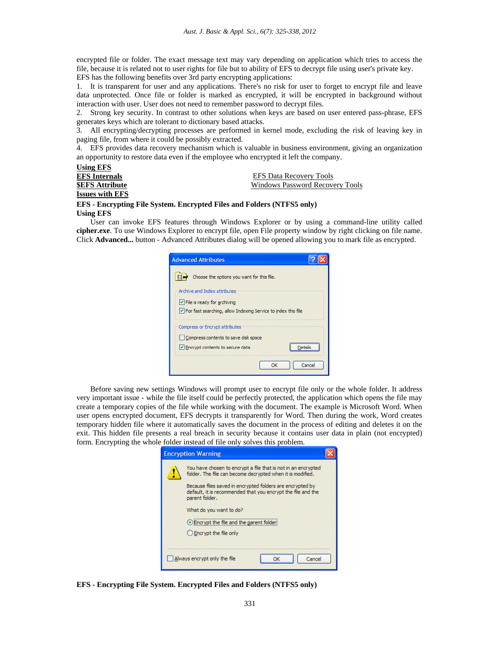encrypted file or folder. The exact message text may vary depending on application which tries to access the file, because it is related not to user rights for file but to ability of EFS to decrypt file using user's private key. EFS has the following benefits over 3rd party encrypting applications:

1. It is transparent for user and any applications. There's no risk for user to forget to encrypt file and leave data unprotected. Once file or folder is marked as encrypted, it will be encrypted in background without interaction with user. User does not need to remember password to decrypt files.

2. Strong key security. In contrast to other solutions when keys are based on user entered pass-phrase, EFS generates keys which are tolerant to dictionary based attacks.

3. All encrypting/decrypting processes are performed in kernel mode, excluding the risk of leaving key in paging file, from where it could be possibly extracted.

4. EFS provides data recovery mechanism which is valuable in business environment, giving an organization an opportunity to restore data even if the employee who encrypted it left the company.

**Using EFS EFS Internals \$EFS Attribute Issues with EFS**

 EFS Data Recovery Tools Windows Password Recovery Tools

### **EFS - Encrypting File System. Encrypted Files and Folders (NTFS5 only) Using EFS**

 User can invoke EFS features through Windows Explorer or by using a command-line utility called **cipher.exe**. To use Windows Explorer to encrypt file, open File property window by right clicking on file name. Click **Advanced...** button - Advanced Attributes dialog will be opened allowing you to mark file as encrypted.

| <b>Advanced Attributes</b>                                           |         |
|----------------------------------------------------------------------|---------|
| Choose the options you want for this file.                           |         |
| Archive and Index attributes                                         |         |
| $\triangledown$ File is ready for archiving                          |         |
| $\vee$ For fast searching, allow Indexing Service to index this file |         |
| Compress or Encrypt attributes                                       |         |
| Compress contents to save disk space                                 |         |
| Encrypt contents to secure data                                      | Details |
| OK                                                                   | Cancel  |
|                                                                      |         |

 Before saving new settings Windows will prompt user to encrypt file only or the whole folder. It address very important issue - while the file itself could be perfectly protected, the application which opens the file may create a temporary copies of the file while working with the document. The example is Microsoft Word. When user opens encrypted document, EFS decrypts it transparently for Word. Then during the work, Word creates temporary hidden file where it automatically saves the document in the process of editing and deletes it on the exit. This hidden file presents a real breach in security because it contains user data in plain (not encrypted) form. Encrypting the whole folder instead of file only solves this problem.



**EFS - Encrypting File System. Encrypted Files and Folders (NTFS5 only)**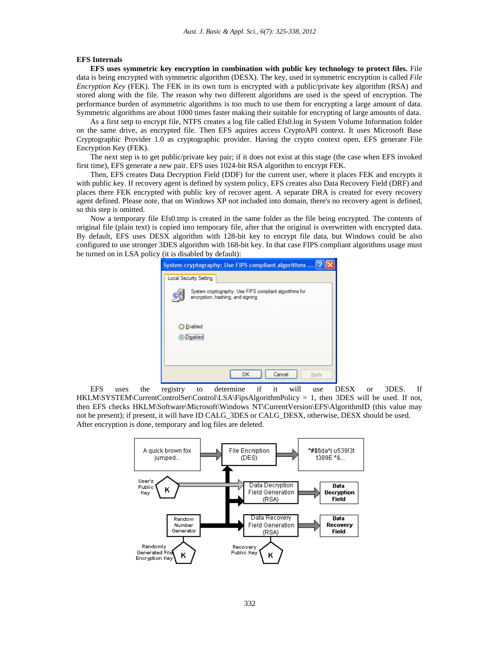## **EFS Internals**

 **EFS uses symmetric key encryption in combination with public key technology to protect files.** File data is being encrypted with symmetric algorithm (DESX). The key, used in symmetric encryption is called *File Encryption Key* (FEK). The FEK in its own turn is encrypted with a public/private key algorithm (RSA) and stored along with the file. The reason why two different algorithms are used is the speed of encryption. The performance burden of asymmetric algorithms is too much to use them for encrypting a large amount of data. Symmetric algorithms are about 1000 times faster making their suitable for encrypting of large amounts of data.

 As a first setp to encrypt file, NTFS creates a log file called Efs0.log in System Volume Information folder on the same drive, as encrypted file. Then EFS aquires access CryptoAPI context. It uses Microsoft Base Cryptographic Provider 1.0 as cryptographic provider. Having the crypto context open, EFS generate File Encryption Key (FEK).

 The next step is to get public/private key pair; if it does not exist at this stage (the case when EFS invoked first time), EFS generate a new pair. EFS uses 1024-bit RSA algorithm to encrypt FEK.

 Then, EFS creates Data Decryption Field (DDF) for the current user, where it places FEK and encrypts it with public key. If recovery agent is defined by system policy, EFS creates also Data Recovery Field (DRF) and places there FEK encrypted with public key of recover agent. A separate DRA is created for every recovery agent defined. Please note, that on Windows XP not included into domain, there's no recovery agent is defined, so this step is omitted.

 Now a temporary file Efs0.tmp is created in the same folder as the file being encrypted. The contents of original file (plain text) is copied into temporary file, after that the original is overwritten with encrypted data. By default, EFS uses DESX algorithm with 128-bit key to encrypt file data, but Windows could be also configured to use stronger 3DES algorithm with 168-bit key. In that case FIPS compliant algorithms usage must be turned on in LSA policy (it is disabled by default):



 EFS uses the registry to determine if it will use DESX or 3DES. If HKLM\SYSTEM\CurrentControlSet\Control\LSA\FipsAlgorithmPolicy = 1, then 3DES will be used. If not, then EFS checks HKLM\Software\Microsoft\Windows NT\CurrentVersion\EFS\AlgorithmID (this value may not be present); if present, it will have ID CALG\_3DES or CALG\_DESX, otherwise, DESX should be used. After encryption is done, temporary and log files are deleted.

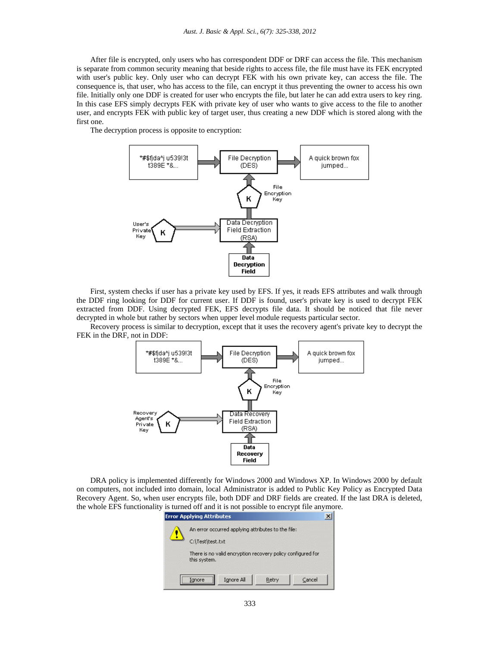After file is encrypted, only users who has correspondent DDF or DRF can access the file. This mechanism is separate from common security meaning that beside rights to access file, the file must have its FEK encrypted with user's public key. Only user who can decrypt FEK with his own private key, can access the file. The consequence is, that user, who has access to the file, can encrypt it thus preventing the owner to access his own file. Initially only one DDF is created for user who encrypts the file, but later he can add extra users to key ring. In this case EFS simply decrypts FEK with private key of user who wants to give access to the file to another user, and encrypts FEK with public key of target user, thus creating a new DDF which is stored along with the first one.

The decryption process is opposite to encryption:



 First, system checks if user has a private key used by EFS. If yes, it reads EFS attributes and walk through the DDF ring looking for DDF for current user. If DDF is found, user's private key is used to decrypt FEK extracted from DDF. Using decrypted FEK, EFS decrypts file data. It should be noticed that file never decrypted in whole but rather by sectors when upper level module requests particular sector.

 Recovery process is similar to decryption, except that it uses the recovery agent's private key to decrypt the FEK in the DRF, not in DDF:



 DRA policy is implemented differently for Windows 2000 and Windows XP. In Windows 2000 by default on computers, not included into domain, local Administrator is added to Public Key Policy as Encrypted Data Recovery Agent. So, when user encrypts file, both DDF and DRF fields are created. If the last DRA is deleted, the whole EFS functionality is turned off and it is not possible to encrypt file anymore.

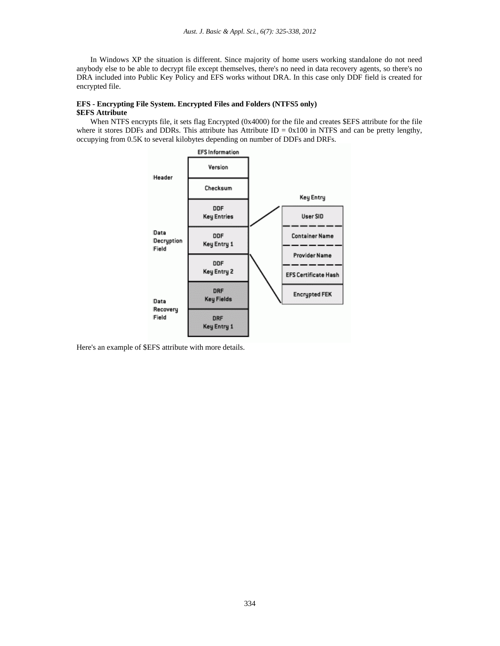In Windows XP the situation is different. Since majority of home users working standalone do not need anybody else to be able to decrypt file except themselves, there's no need in data recovery agents, so there's no DRA included into Public Key Policy and EFS works without DRA. In this case only DDF field is created for encrypted file.

# **EFS - Encrypting File System. Encrypted Files and Folders (NTFS5 only) \$EFS Attribute**

 When NTFS encrypts file, it sets flag Encrypted (0x4000) for the file and creates \$EFS attribute for the file where it stores DDFs and DDRs. This attribute has Attribute  $ID = 0x100$  in NTFS and can be pretty lengthy, occupying from 0.5K to several kilobytes depending on number of DDFs and DRFs.



Here's an example of \$EFS attribute with more details.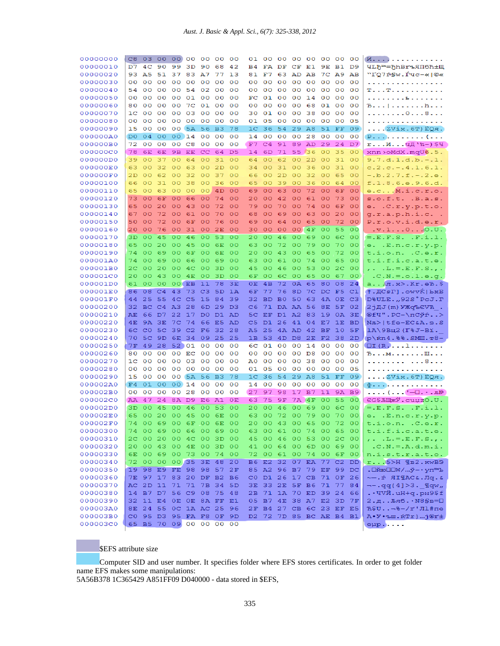| 00000000 | C8             | 03              | 00             | 00)             | 00                      | oo             | 00             | 00             | 01                         | 00                      | $^{00}$              | 00             | 00        | 00             | 00             | $^{00}$                 | и. <b>.</b> .                           |
|----------|----------------|-----------------|----------------|-----------------|-------------------------|----------------|----------------|----------------|----------------------------|-------------------------|----------------------|----------------|-----------|----------------|----------------|-------------------------|-----------------------------------------|
| 00000010 | D7             | 4C              | 90             | 99              | 3D                      | 90             | 68             | 42             | B4                         |                         | FA DF                | CF E1          |           | 9E.            | B1 D9          |                         | ЧІђ™=ђһВґъЯПбћ±Щ                        |
| 00000020 | 93             | A5              |                | 51 37           | 83                      | A7             | 77             | 13             | 81                         | F7                      | 63                   | AD AB          |           |                | 7C A9 AB       |                         | "IQ7ŕ§w.ŕчc-« ©«                        |
| 00000030 | OO.            | 00              | 00             | 00              | 00                      | 00             | 00             | 00             | 00                         | 00                      | 00                   | 00             | 00        | 00             | 00 00          |                         | .                                       |
| 00000040 | 54             | 00              | 00             | 00              | 54                      | 02             | 00             | 00             | 00                         | 00                      | 00                   | 00             | 00        | 00             | 00             | 00                      | T. T.                                   |
| 00000050 | 00             | 00              | 00             | 00              | 01                      | 00             | 00             | $^{\circ}$     | FC                         | -01                     | 00                   | 00             | 14        | 00             | 00 00          |                         | . <b>.</b>                              |
| 00000060 | 80             | 00              | 00             | 00              | 7с                      | 01             | 00             | -00            | 00                         | 00                      | 00                   | 00             | 68        | 01             | 00             | - 00                    | ъ.   h.                                 |
| 00000070 | 1 <sup>c</sup> | 00              | 00             | 00              | 03                      | 00             | 00             | 00             | 30                         | 01                      | 00                   | 00             | 38        | 00             | 0000           |                         | . 0 8                                   |
| 00000080 | 00             | 00              | 00             | 00              | 00                      | 00             | 00             | 00             | 01                         | 05                      | 00                   | 00             | 00        | 00             | 00 05          |                         | .                                       |
| 00000090 | 15             | 00              | 00             |                 | 00 5A                   | -56            | B <sub>3</sub> | 78             | 1 <sup>c</sup>             | 36                      | 54                   | 29             | A8        | 51             | ${\rm FF}$     | 09                      | ZVix.6T) ЁQя.                           |
|          |                |                 |                |                 |                         |                |                |                |                            |                         |                      |                |           |                |                |                         |                                         |
| 000000A0 | D <sub>0</sub> | 04              | 00             | 00              | 14                      | 00             | 00             | 00             | 14                         | 00                      | 00                   | 00             | 28        | 00             | 00             | 00                      | P. <b>.</b> (.                          |
| 000000B0 | 72             | 00              | 00             | 00              | C8                      | 00             | 00             | 00             | F7                         | C <sub>4</sub>          | 91                   | 89             | AD        | 29             |                | 24 D7                   | rMчд'‰-)\$Ч                             |
| 000000C0 | 78             | 6E              | 6E             | <b>9B</b>       | EE                      | cc             | 64             | D <sub>5</sub> | 14                         | 6D                      | -71                  | 55 36          |           | 00             | 35 00          |                         | xnn >oMdX.mqU6.5.                       |
| 000000D0 | 39             | 00              | 37             | 00              | 64                      | 00             | 31             | 00             | 64                         | 00                      | 62                   | 00             | 2D        | 00             | 31 00          |                         | $9.7.d.1.d.b.-.1.$                      |
| 000000E0 | 63             | 00              | 32             | 00              | 63                      | 00             | 2D             | 00             | 34                         | 00                      | 31                   | 00             | 36        | 00             | 31 00          |                         | $c.2.c. - .4.1.6.1.$                    |
| 000000F0 | 2D             | 00              | 62             | 00              | 32                      | 00             | 37             | 00             | 66                         | 00                      | 2D                   | 00             | 32        | 00             | 65             | 00                      | $-. b. 2.7.f. -. 2.e.$                  |
| 00000100 | 66             | 00              | 31             | 00              | 38                      | 00             | 36             | 00             | 65                         | 00                      | 39                   | 00             | 36        | 00             | 64             | 00                      | f.1.8.6.e.9.6.d.                        |
| 00000110 | 65             | 00              | 63             | 00              | 00                      | 00             | 4D             | 00             | 69                         | 00                      | 63                   | 00             | 72        | 00             | 6F 00          |                         | e.cM.i.c.r.o.                           |
| 00000120 | 73             | 00              | 6F             | 00              | 66                      | 00             | 74             | 00             | 20                         | 00                      | 42                   | 00             | 61        | 00             | 73 00          |                         | s.o.f.t. . B.a.s.                       |
| 00000130 | 65             | 00              | 20             | 00              | 43                      | 00             | 72             | 00             | 79                         | 00                      | 70                   | 00             | 74        | 00             | 6F 00          |                         | e. C.r.y.p.t.o.                         |
| 00000140 | 67             | 00              | 72             | 0 <sup>0</sup>  | 61                      | 00             | 70             | 00             | 68                         | 00                      | 69                   | 00             | 63        | 00             | 20             | - 00                    | g.r.a.p.h.i.c                           |
| 00000150 | 50             | 00              | 72             | 00              | 6F                      | 00             | 76             | 00             | 69                         | 0 <sup>o</sup>          | 64                   | 00             | 65        | 00             | 72             | 00                      | P.r.o.v.i.d.e.r.                        |
| 00000160 | 20             | 00              | 76             | 00              | 31                      | 00             | 2E             | 00             | 30                         | 00                      | 00                   | 00 4F          |           | 00             | 55             | 00                      | . v. 1. 0. 0. U.                        |
| 00000170 | 3D             | 00              | 45             | 00              | 46                      | 00             | 53             | 00             | 20                         | 00                      | 46                   | 00             | 69        | 0 <sub>0</sub> | 6C             | 00                      | $= .E.F.S. .F.i.1.$                     |
| 00000180 | 65             | 00              | 20             | 00              | 45                      | 00             | 6E             | 00             | 63                         | 00                      | 72                   | 00             | 79        | 00             | 70             | - 00                    | E.n.c.r.y.p.<br>$e$ .                   |
| 00000190 | 74             | 00              | 69             | 00              | 6F                      | 00             | 6E             | 00             | 20                         | 00                      | 43                   | 00             | 65        | 00             | 72             | 00                      | t.i.o.n. . C.e.r.                       |
| 000001A0 | 74             | 00              | 69             | 00              | 66                      | 00             | 69             | 00             | 63                         | 00                      | 61                   | 00             | 74        | 00             | 65             | -00                     | t.i.f.i.c.a.t.e.                        |
| 000001B0 | 2C             | 00              | 20             | 00              |                         |                | 3D             | 00             | 45                         | 00                      | 46                   |                | 53        | 00             | 2 <sup>c</sup> |                         |                                         |
|          |                |                 |                |                 | 4 <sup>c</sup>          | 00             |                |                |                            |                         |                      | 00             |           |                |                | 00                      | $, \ldots$ L.=. E.F.S.,.                |
| 000001C0 | 20             | 00              | 43             | 00              | 4E                      | 00             | 3D             | 00             | 6F                         | 00                      | 6C                   | 00             | 65        | 00             | 67             | 00                      | $.C.N.=.0.l.e.g.$                       |
| 000001D0 | 61             | 00              | 00             | 00 <sub>1</sub> | EB                      | 11             | 78             | 3E             | OΕ                         | 4B                      | 72                   | 0A 65          |           |                | 80 08 24       |                         | $aJx.x$ . Kr. e $b.$ \$                 |
| 000001E0 | 86             | 08              | C <sub>4</sub> | 43              | 73                      | C <sub>3</sub> | 5D             | 1A             | 6F                         | 77                      | 76                   | 8D             | 7C        | DC             | F5 C1          |                         | †.ДСsГ].owvŔ ЬxБ                        |
| 000001F0 | 44             | 25 <sub>1</sub> | 55             | 4 <sup>c</sup>  | C <sub>5</sub>          | 15             | 84             | 39             | 32                         | <b>BD</b>               | B <sub>0</sub>       | 50 63          |           |                | 4A 0E C3       |                         | D%ULE. "92S°PCJ. P                      |
| 00000200 | 32             | BC.             | C <sub>4</sub> | A3              | 28                      | 6D             | 29             | D <sub>3</sub> | C6                         | 71                      |                      | DA AA 56       |           | 8E             | 5F 02          |                         | 2jДJ(m)УЖqЪEVЋ.                         |
| 00000210 | AE             |                 | 66 D7          | 22              | 17                      | D <sub>0</sub> | D1             | AD             | 5 <sup>c</sup>             | EF                      | D1                   | A2             | 83        | 19             |                | 0A 3E                   | ®fЧ".PC-\пСў́г>                         |
| 00000220 | 4E             |                 | <b>9A 3E</b>   | 7C              | 74                      | 66             | E <sub>5</sub> | AD             | C <sub>5</sub>             | D <sub>1</sub>          | 26                   | 41             | 04        | E7             | 1E BD          |                         | NE> tfe-EC&A.s.S                        |
| 00000230 | 6C.            | CO <sub>2</sub> | 5 <sub>C</sub> | 39              | C <sub>2</sub>          | F6             | 32             | 28             | A5                         | 25                      | 4A AD                |                | -42       | <b>BF</b>      | 105F           |                         | $lA\$ 9Bu2 ( $l$ $J-Bi$ .               |
| 00000240 | 70             | 5 <sub>C</sub>  |                | 9D 6E           | 34                      | 09             | 25             | 25             | 1B                         | -53                     | 4D                   | D <sub>8</sub> | $2E$ $F2$ |                |                | 38 2D                   | $p\$ $n4.$ $8.$ $S$ $M$ $m.$ $n8-$      |
| 00000250 | 7F             | 49              | 28             |                 | 52 01                   | 00             | 00             | 00             | 6с                         | 01                      | 00                   | 00             | 14        | 00             | 00             | 00                      | $\Box$ I (R. $\dots$ 1. $\dots$ .       |
| 00000260 | 80             | 00              | 00             | 00              | EC                      | 00             | 00             | 00             | 00                         | 00                      | 00                   | 00             | D8        | 00             |                | 00 00                   | $\mathbb{D}$ $\mathbb{M}$ $\mathbb{H}$  |
| 00000270 | $_{1c}$        | 00              | 00             | 00              | 03                      | 00             | 00             | 00             | A0                         | 00                      | 00                   | 00             | 38        | 00             | 00             | $\overline{\mathbf{o}}$ | . 8                                     |
| 00000280 | 00             | 00              | 00             | 00              | 00                      | 00             | 00             | 00             | 01                         | 05                      | 00                   | 00             | 00        | 00             | 00             | - 0.5                   | .                                       |
| 00000290 | 15             | 00              | 00             | 00              | 5A 56 B3                |                |                | 78             | 1 <sup>c</sup>             | 36                      | -54                  | 29 A8          |           |                | 51 FF 09       |                         | ZVix.6T) ЁQя.                           |
| 000002A0 | F <sub>4</sub> | 01              | 00             | 00 <sup>1</sup> | 14                      | 00             | 00             | 00             | 14                         | 00                      | 00                   | 00             | 00        | 00             | 0000           |                         | <b>.</b>                                |
| 000002B0 | 00             | 00              | 00             | 00              | 28                      | 00             | 00             | 00             | 27                         | 97                      | 98                   | 17             | B7        | 11             |                | <b>9A B9</b>            | . ( ('—□. · . Jь№                       |
| 000002C0 | AA             | 47              | 24             | 8A              | D9                      | E6             | A1             | OE             | 63                         | 75                      | 9F                   | <b>7A 4F</b>   |           | 00             | 55             | 00                      | ЄG\$ЉШжЎ.cuuzO.U.                       |
| 000002D0 | 3D             | 00              | 45             | 00              | 46                      | 00             | 53             | 00             | 20                         | 00                      | 46                   | 00             | 69        | 00             | 6C             | 00                      | $= .\,E .\,F .\,S .\quad F .\,i .\,l$ . |
| 000002E0 | 65.            |                 |                |                 | 00 20 00 45 00 6E       |                |                | 00             | 63                         | 00 <sub>0</sub>         | 72 00 79 00 70 00    |                |           |                |                |                         | e. .E.n.c.r.y.p.                        |
| 000002F0 |                |                 |                |                 |                         |                |                |                | 74 00 69 00 6F 00 6E 00 20 |                         | 00 43 00 65 00 72 00 |                |           |                |                |                         | t.i.o.n. . C.e.r.                       |
| 00000300 |                |                 |                |                 | 74 00 69 00 66 00 69 00 |                |                |                |                            | 63 00 61 00 74 00 65 00 |                      |                |           |                |                |                         | t.i.f.i.c.a.t.e.                        |
| 00000310 |                |                 |                |                 | 2C 00 20 00 4C 00 3D 00 |                |                |                |                            | 45 00 46 00 53 00 2C 00 |                      |                |           |                |                |                         | $, \ldots$ $L := E.F.S.,$               |
| 00000320 |                |                 |                |                 | 20 00 43 00 4E 00 3D 00 |                |                |                |                            | 41 00 64 00 6D 00 69 00 |                      |                |           |                |                |                         | $.C.N.=.A.d.m.i.$                       |
| 00000330 |                |                 |                |                 | 6E 00 69 00 73 00 74    |                |                | 00             |                            |                         |                      |                |           |                |                |                         |                                         |
|          |                |                 |                |                 |                         |                |                |                |                            | 72 00 61 00 74 00 6F 00 |                      |                |           |                |                |                         | n.i.s.t.r.a.t.o.                        |
| 00000340 |                |                 |                |                 | 72 00 00 00 35 3E 48    |                |                | 20             |                            |                         |                      |                |           |                |                | B6 E2 32 07 EA 77 C2 DD | $r \ldots 5$ >H $\P$ B2. KWB9           |
| 00000350 |                |                 |                |                 | 19 98 E9 FE 98 98 57 2F |                |                |                |                            | 85 A2 96 B7 79 EF 99 DC |                      |                |           |                |                |                         | . □йю□□W/…ў- · уп™Ь                     |
| 00000360 |                |                 |                |                 | 7E 97 17 83 20 DF B2 B6 |                |                |                |                            | C0 D1 26 17 CB 71 OF 26 |                      |                |           |                |                |                         | ~-. ŕ ЯІ¶АС&. Лq. &                     |
| 00000370 |                |                 |                |                 | AC 2D 11 71 71 7B 34 5D |                |                |                |                            | 3E 33 2E 5F B6 71 77 84 |                      |                |           |                |                |                         | $\neg$ -.qq{4]>3. ¶qw,                  |
| 00000380 |                |                 |                |                 | 14 B7 D7 56 C9 08 75 48 |                |                |                |                            | 2B 71 1A 70 ED 39 24 66 |                      |                |           |                |                |                         | . · ЧVЙ. uH+q. pн9\$f                   |
| 00000390 |                |                 |                |                 | 32 11 E4 OE OE 8A FF E1 |                |                |                |                            | 05 B7 4E 38 A7 E2 3D 7F |                      |                |           |                |                |                         | 2.дЉяб.·N8§в=□                          |
| 000003A0 |                |                 |                |                 | 8E 24 55 0C 1A AC 25 96 |                |                |                |                            | 2F B4 27 CB 6C 23 EF E5 |                      |                |           |                |                |                         | Ћ\$U¬%-/r'Лl#пе                         |
| 000003B0 |                |                 |                |                 | C0 95 D3 95 FA F8 OF    |                |                | 9D             |                            | D2 72 7D 85 BC AE B4 B1 |                      |                |           |                |                |                         | А•У•ъш. ќТr}…j®r±                       |
| 000003C0 |                |                 |                |                 | 65 B5 70 09 00 00 00    |                |                | 00             |                            |                         |                      |                |           |                |                |                         | $epp.$                                  |

\$EFS attribute size

Computer SID and user number. It specifies folder where EFS stores certificates. In order to get folder name EFS makes some manipulations:

5A56B378 1C365429 A851FF09 D040000 - data stored in \$EFS,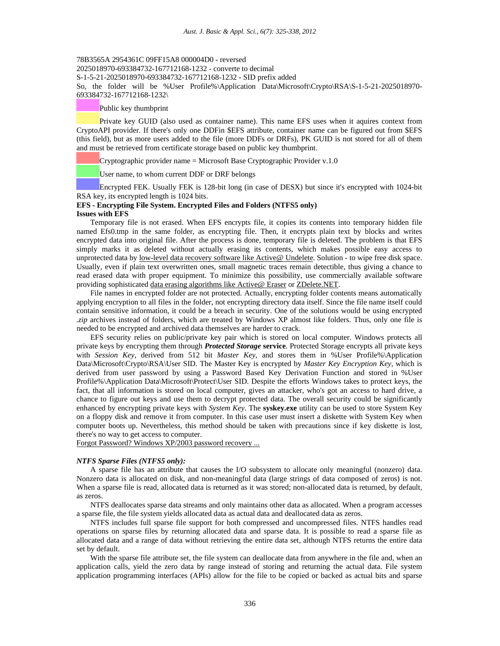### 78B3565A 2954361C 09FF15A8 000004D0 - reversed

2025018970-693384732-167712168-1232 - converte to decimal

S-1-5-21-2025018970-693384732-167712168-1232 - SID prefix added

So, the folder will be %User Profile%\Application Data\Microsoft\Crypto\RSA\S-1-5-21-2025018970- 693384732-167712168-1232\

### Public key thumbprint

Private key GUID (also used as container name). This name EFS uses when it aquires context from CryptoAPI provider. If there's only one DDFin \$EFS attribute, container name can be figured out from \$EFS (this field), but as more users added to the file (more DDFs or DRFs), PK GUID is not stored for all of them and must be retrieved from certificate storage based on public key thumbprint.

Cryptographic provider name = Microsoft Base Cryptographic Provider v.1.0

User name, to whom current DDF or DRF belongs

Encrypted FEK. Usually FEK is 128-bit long (in case of DESX) but since it's encrypted with 1024-bit RSA key, its encrypted length is 1024 bits.

# **EFS - Encrypting File System. Encrypted Files and Folders (NTFS5 only)**

#### **Issues with EFS**

 Temporary file is not erased. When EFS encrypts file, it copies its contents into temporary hidden file named Efs0.tmp in the same folder, as encrypting file. Then, it encrypts plain text by blocks and writes encrypted data into original file. After the process is done, temporary file is deleted. The problem is that EFS simply marks it as deleted without actually erasing its contents, which makes possible easy access to unprotected data by low-level data recovery software like Active@ Undelete. Solution - to wipe free disk space. Usually, even if plain text overwritten ones, small magnetic traces remain detectible, thus giving a chance to read erased data with proper equipment. To minimize this possibility, use commercially available software providing sophisticated data erasing algorithms like Active@ Eraser or ZDelete.NET.

 File names in encrypted folder are not protected. Actually, encrypting folder contents means automatically applying encryption to all files in the folder, not encrypting directory data itself. Since the file name itself could contain sensitive information, it could be a breach in security. One of the solutions would be using encrypted *.zip* archives instead of folders, which are treated by Windows XP almost like folders. Thus, only one file is needed to be encrypted and archived data themselves are harder to crack.

 EFS security relies on public/private key pair which is stored on local computer. Windows protects all private keys by encrypting them through *Protected Storage* **service**. Protected Storage encrypts all private keys with *Session Key*, derived from 512 bit *Master Key*, and stores them in %User Profile%\Application Data\Microsoft\Crypto\RSA\User SID. The Master Key is encrypted by *Master Key Encryption Key*, which is derived from user password by using a Password Based Key Derivation Function and stored in %User Profile%\Application Data\Microsoft\Protect\User SID. Despite the efforts Windows takes to protect keys, the fact, that all information is stored on local computer, gives an attacker, who's got an access to hard drive, a chance to figure out keys and use them to decrypt protected data. The overall security could be significantly enhanced by encrypting private keys with *System Key*. The **syskey.exe** utility can be used to store System Key on a floppy disk and remove it from computer. In this case user must insert a diskette with System Key when computer boots up. Nevertheless, this method should be taken with precautions since if key diskette is lost, there's no way to get access to computer.

Forgot Password? Windows XP/2003 password recovery ...

# *NTFS Sparse Files (NTFS5 only):*

 A sparse file has an attribute that causes the I/O subsystem to allocate only meaningful (nonzero) data. Nonzero data is allocated on disk, and non-meaningful data (large strings of data composed of zeros) is not. When a sparse file is read, allocated data is returned as it was stored; non-allocated data is returned, by default, as zeros.

 NTFS deallocates sparse data streams and only maintains other data as allocated. When a program accesses a sparse file, the file system yields allocated data as actual data and deallocated data as zeros.

 NTFS includes full sparse file support for both compressed and uncompressed files. NTFS handles read operations on sparse files by returning allocated data and sparse data. It is possible to read a sparse file as allocated data and a range of data without retrieving the entire data set, although NTFS returns the entire data set by default.

 With the sparse file attribute set, the file system can deallocate data from anywhere in the file and, when an application calls, yield the zero data by range instead of storing and returning the actual data. File system application programming interfaces (APIs) allow for the file to be copied or backed as actual bits and sparse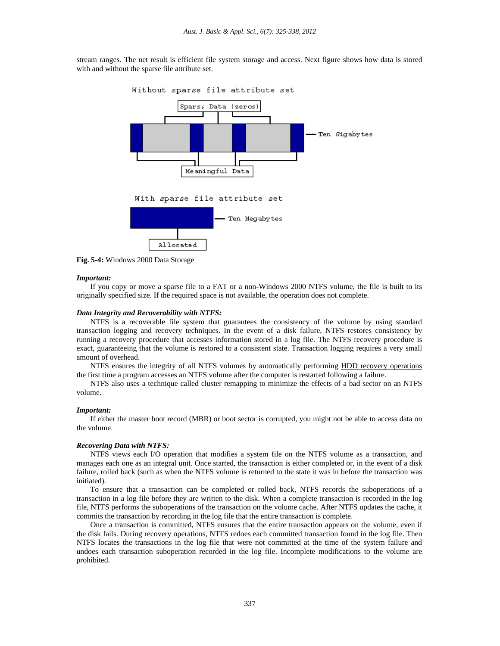stream ranges. The net result is efficient file system storage and access. Next figure shows how data is stored with and without the sparse file attribute set.



**Fig. 5-4:** Windows 2000 Data Storage

### *Important:*

 If you copy or move a sparse file to a FAT or a non-Windows 2000 NTFS volume, the file is built to its originally specified size. If the required space is not available, the operation does not complete.

### *Data Integrity and Recoverability with NTFS:*

 NTFS is a recoverable file system that guarantees the consistency of the volume by using standard transaction logging and recovery techniques. In the event of a disk failure, NTFS restores consistency by running a recovery procedure that accesses information stored in a log file. The NTFS recovery procedure is exact, guaranteeing that the volume is restored to a consistent state. Transaction logging requires a very small amount of overhead.

 NTFS ensures the integrity of all NTFS volumes by automatically performing HDD recovery operations the first time a program accesses an NTFS volume after the computer is restarted following a failure.

 NTFS also uses a technique called cluster remapping to minimize the effects of a bad sector on an NTFS volume.

#### *Important:*

 If either the master boot record (MBR) or boot sector is corrupted, you might not be able to access data on the volume.

#### *Recovering Data with NTFS:*

 NTFS views each I/O operation that modifies a system file on the NTFS volume as a transaction, and manages each one as an integral unit. Once started, the transaction is either completed or, in the event of a disk failure, rolled back (such as when the NTFS volume is returned to the state it was in before the transaction was initiated).

 To ensure that a transaction can be completed or rolled back, NTFS records the suboperations of a transaction in a log file before they are written to the disk. When a complete transaction is recorded in the log file, NTFS performs the suboperations of the transaction on the volume cache. After NTFS updates the cache, it commits the transaction by recording in the log file that the entire transaction is complete.

 Once a transaction is committed, NTFS ensures that the entire transaction appears on the volume, even if the disk fails. During recovery operations, NTFS redoes each committed transaction found in the log file. Then NTFS locates the transactions in the log file that were not committed at the time of the system failure and undoes each transaction suboperation recorded in the log file. Incomplete modifications to the volume are prohibited.